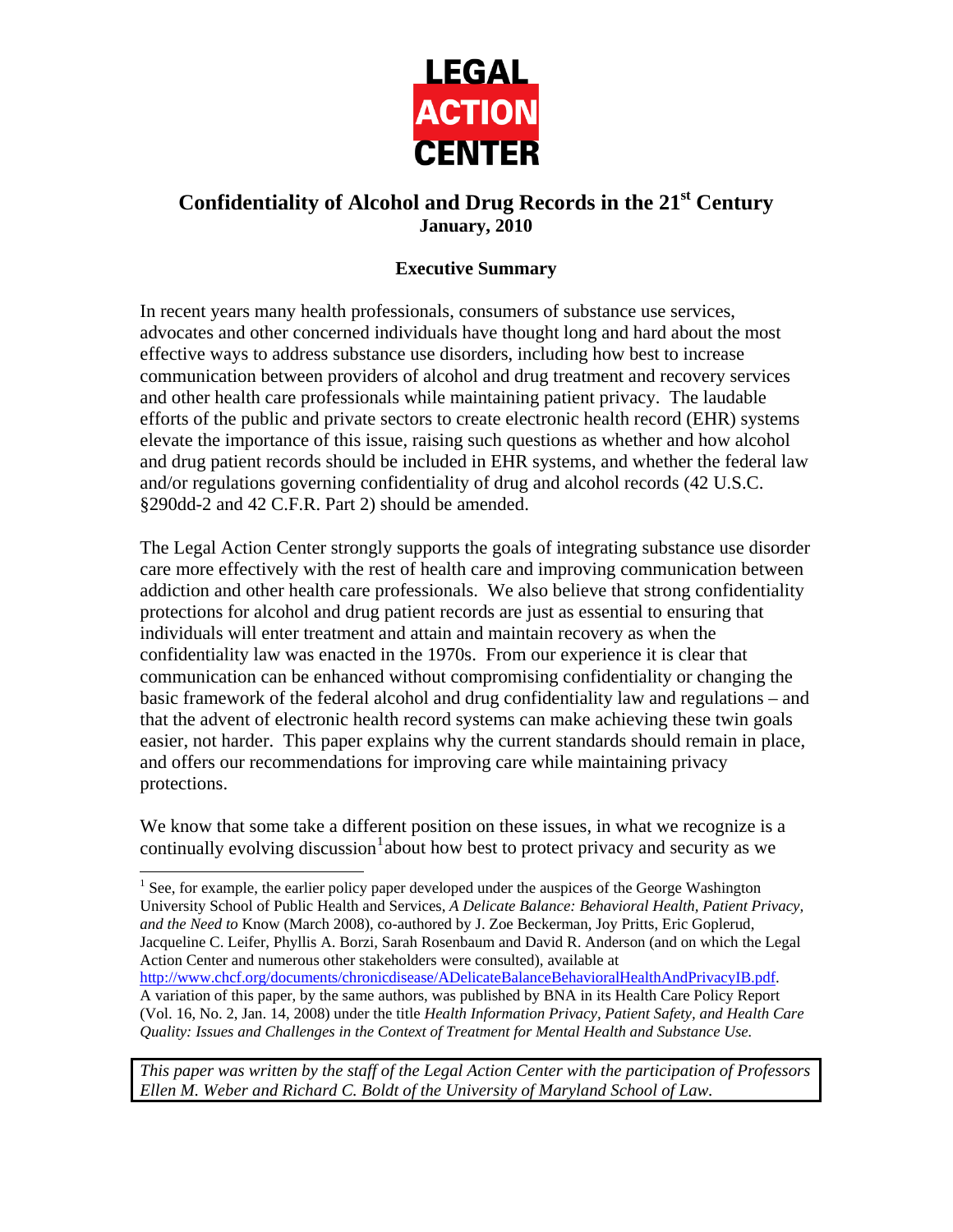

# **Confidentiality of Alcohol and Drug Records in the 21st Century January, 2010**

## **Executive Summary**

In recent years many health professionals, consumers of substance use services, advocates and other concerned individuals have thought long and hard about the most effective ways to address substance use disorders, including how best to increase communication between providers of alcohol and drug treatment and recovery services and other health care professionals while maintaining patient privacy. The laudable efforts of the public and private sectors to create electronic health record (EHR) systems elevate the importance of this issue, raising such questions as whether and how alcohol and drug patient records should be included in EHR systems, and whether the federal law and/or regulations governing confidentiality of drug and alcohol records (42 U.S.C. §290dd-2 and 42 C.F.R. Part 2) should be amended.

The Legal Action Center strongly supports the goals of integrating substance use disorder care more effectively with the rest of health care and improving communication between addiction and other health care professionals. We also believe that strong confidentiality protections for alcohol and drug patient records are just as essential to ensuring that individuals will enter treatment and attain and maintain recovery as when the confidentiality law was enacted in the 1970s. From our experience it is clear that communication can be enhanced without compromising confidentiality or changing the basic framework of the federal alcohol and drug confidentiality law and regulations – and that the advent of electronic health record systems can make achieving these twin goals easier, not harder. This paper explains why the current standards should remain in place, and offers our recommendations for improving care while maintaining privacy protections.

We know that some take a different position on these issues, in what we recognize is a continually evolving discussion  $1$  about how best to protect privacy and security as we

l

<span id="page-0-0"></span> $<sup>1</sup>$  See, for example, the earlier policy paper developed under the auspices of the George Washington</sup> University School of Public Health and Services, *A Delicate Balance: Behavioral Health, Patient Privacy, and the Need to* Know (March 2008), co-authored by J. Zoe Beckerman, Joy Pritts, Eric Goplerud, Jacqueline C. Leifer, Phyllis A. Borzi, Sarah Rosenbaum and David R. Anderson (and on which the Legal Action Center and numerous other stakeholders were consulted), available at [http://www.chcf.org/documents/chronicdisease/ADelicateBalanceBehavioralHealthAndPrivacyIB.pdf.](http://www.chcf.org/documents/chronicdisease/ADelicateBalanceBehavioralHealthAndPrivacyIB.pdf) A variation of this paper, by the same authors, was published by BNA in its Health Care Policy Report (Vol. 16, No. 2, Jan. 14, 2008) under the title *Health Information Privacy, Patient Safety, and Health Care Quality: Issues and Challenges in the Context of Treatment for Mental Health and Substance Use.* 

*This paper was written by the staff of the Legal Action Center with the participation of Professors Ellen M. Weber and Richard C. Boldt of the University of Maryland School of Law.*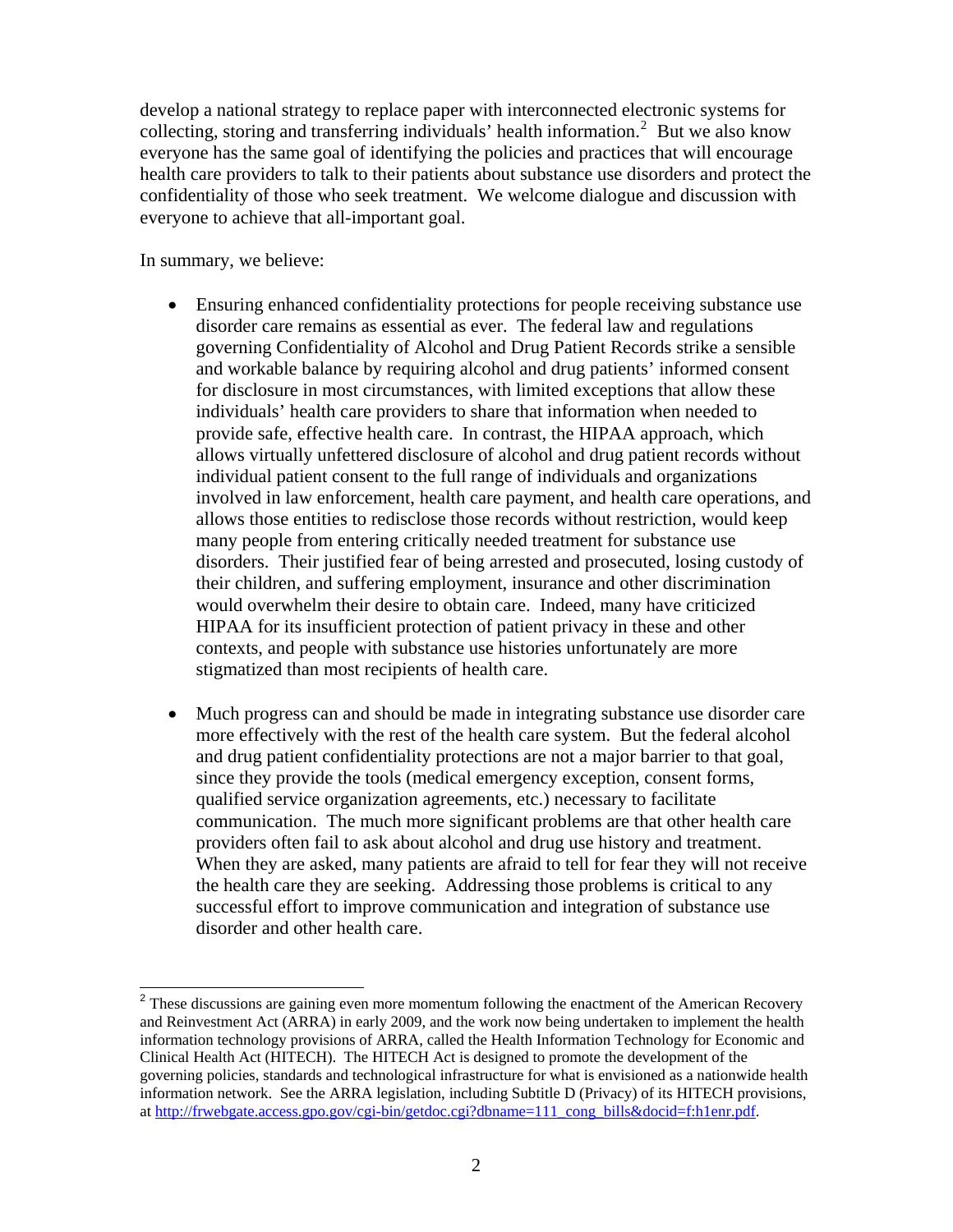develop a national strategy to replace paper with interconnected electronic systems for collecting, storing and transferring individuals' health information.<sup>[2](#page-1-0)</sup> But we also know everyone has the same goal of identifying the policies and practices that will encourage health care providers to talk to their patients about substance use disorders and protect the confidentiality of those who seek treatment. We welcome dialogue and discussion with everyone to achieve that all-important goal.

In summary, we believe:

- Ensuring enhanced confidentiality protections for people receiving substance use disorder care remains as essential as ever. The federal law and regulations governing Confidentiality of Alcohol and Drug Patient Records strike a sensible and workable balance by requiring alcohol and drug patients' informed consent for disclosure in most circumstances, with limited exceptions that allow these individuals' health care providers to share that information when needed to provide safe, effective health care. In contrast, the HIPAA approach, which allows virtually unfettered disclosure of alcohol and drug patient records without individual patient consent to the full range of individuals and organizations involved in law enforcement, health care payment, and health care operations, and allows those entities to redisclose those records without restriction, would keep many people from entering critically needed treatment for substance use disorders. Their justified fear of being arrested and prosecuted, losing custody of their children, and suffering employment, insurance and other discrimination would overwhelm their desire to obtain care. Indeed, many have criticized HIPAA for its insufficient protection of patient privacy in these and other contexts, and people with substance use histories unfortunately are more stigmatized than most recipients of health care.
- Much progress can and should be made in integrating substance use disorder care more effectively with the rest of the health care system. But the federal alcohol and drug patient confidentiality protections are not a major barrier to that goal, since they provide the tools (medical emergency exception, consent forms, qualified service organization agreements, etc.) necessary to facilitate communication. The much more significant problems are that other health care providers often fail to ask about alcohol and drug use history and treatment. When they are asked, many patients are afraid to tell for fear they will not receive the health care they are seeking. Addressing those problems is critical to any successful effort to improve communication and integration of substance use disorder and other health care.

<span id="page-1-0"></span> $2<sup>2</sup>$  These discussions are gaining even more momentum following the enactment of the American Recovery and Reinvestment Act (ARRA) in early 2009, and the work now being undertaken to implement the health information technology provisions of ARRA, called the Health Information Technology for Economic and Clinical Health Act (HITECH). The HITECH Act is designed to promote the development of the governing policies, standards and technological infrastructure for what is envisioned as a nationwide health information network. See the ARRA legislation, including Subtitle D (Privacy) of its HITECH provisions, at [http://frwebgate.access.gpo.gov/cgi-bin/getdoc.cgi?dbname=111\\_cong\\_bills&docid=f:h1enr.pdf.](http://frwebgate.access.gpo.gov/cgi-bin/getdoc.cgi?dbname=111_cong_bills&docid=f:h1enr.pdf)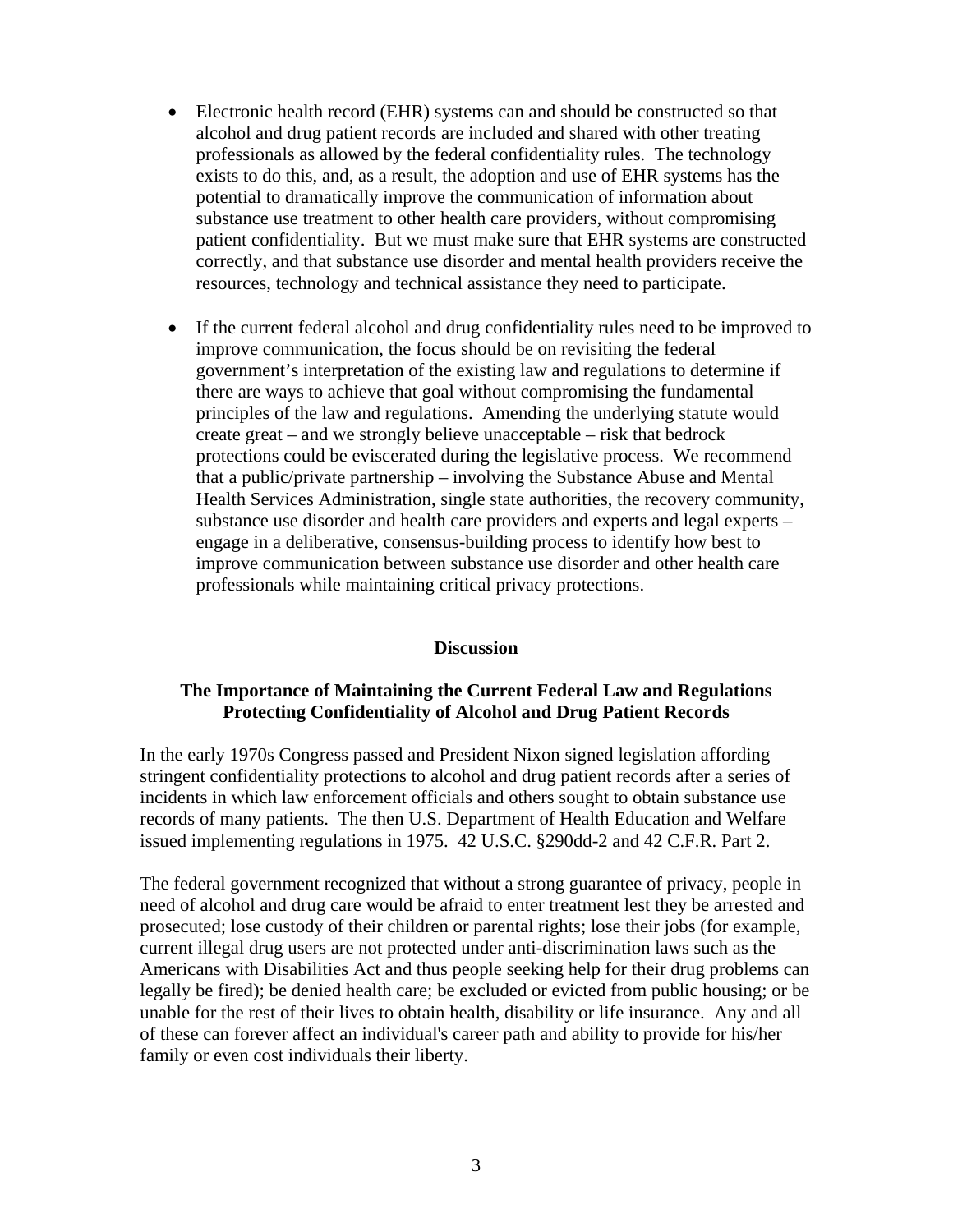- Electronic health record (EHR) systems can and should be constructed so that alcohol and drug patient records are included and shared with other treating professionals as allowed by the federal confidentiality rules. The technology exists to do this, and, as a result, the adoption and use of EHR systems has the potential to dramatically improve the communication of information about substance use treatment to other health care providers, without compromising patient confidentiality. But we must make sure that EHR systems are constructed correctly, and that substance use disorder and mental health providers receive the resources, technology and technical assistance they need to participate.
- If the current federal alcohol and drug confidentiality rules need to be improved to improve communication, the focus should be on revisiting the federal government's interpretation of the existing law and regulations to determine if there are ways to achieve that goal without compromising the fundamental principles of the law and regulations. Amending the underlying statute would create great – and we strongly believe unacceptable – risk that bedrock protections could be eviscerated during the legislative process. We recommend that a public/private partnership – involving the Substance Abuse and Mental Health Services Administration, single state authorities, the recovery community, substance use disorder and health care providers and experts and legal experts – engage in a deliberative, consensus-building process to identify how best to improve communication between substance use disorder and other health care professionals while maintaining critical privacy protections.

#### **Discussion**

#### **The Importance of Maintaining the Current Federal Law and Regulations Protecting Confidentiality of Alcohol and Drug Patient Records**

In the early 1970s Congress passed and President Nixon signed legislation affording stringent confidentiality protections to alcohol and drug patient records after a series of incidents in which law enforcement officials and others sought to obtain substance use records of many patients. The then U.S. Department of Health Education and Welfare issued implementing regulations in 1975. 42 U.S.C. §290dd-2 and 42 C.F.R. Part 2.

The federal government recognized that without a strong guarantee of privacy, people in need of alcohol and drug care would be afraid to enter treatment lest they be arrested and prosecuted; lose custody of their children or parental rights; lose their jobs (for example, current illegal drug users are not protected under anti-discrimination laws such as the Americans with Disabilities Act and thus people seeking help for their drug problems can legally be fired); be denied health care; be excluded or evicted from public housing; or be unable for the rest of their lives to obtain health, disability or life insurance. Any and all of these can forever affect an individual's career path and ability to provide for his/her family or even cost individuals their liberty.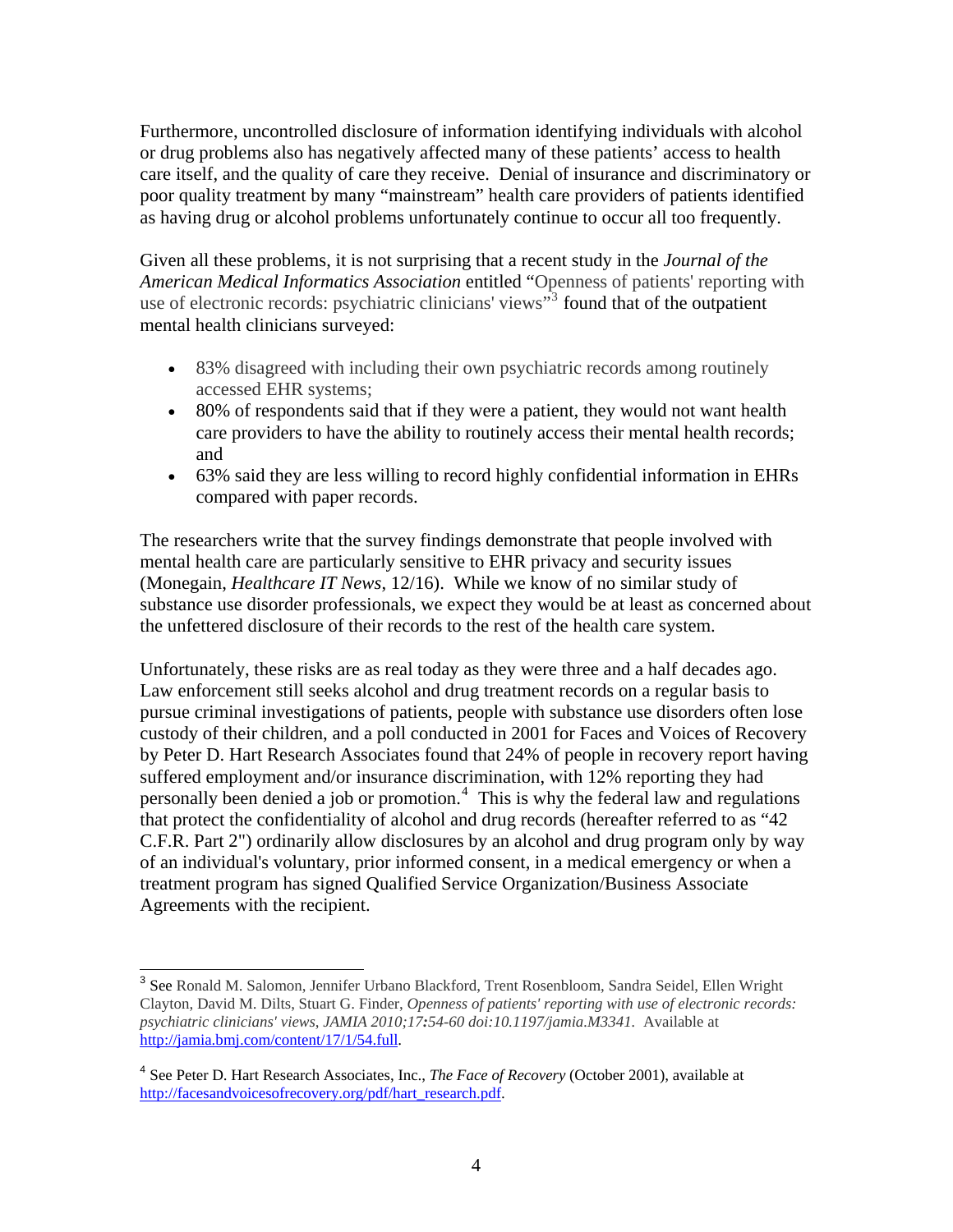Furthermore, uncontrolled disclosure of information identifying individuals with alcohol or drug problems also has negatively affected many of these patients' access to health care itself, and the quality of care they receive. Denial of insurance and discriminatory or poor quality treatment by many "mainstream" health care providers of patients identified as having drug or alcohol problems unfortunately continue to occur all too frequently.

Given all these problems, it is not surprising that a recent study in the *Journal of the American Medical Informatics Association* entitled "Openness of patients' reporting with use of electronic records: psychiatric clinicians' views<sup>[3](#page-3-0)3</sup> found that of the outpatient mental health clinicians surveyed:

- 83% disagreed with including their own psychiatric records among routinely accessed EHR systems;
- 80% of respondents said that if they were a patient, they would not want health care providers to have the ability to routinely access their mental health records; and
- 63% said they are less willing to record highly confidential information in EHRs compared with paper records.

The researchers write that the survey findings demonstrate that people involved with mental health care are particularly sensitive to EHR privacy and security issues (Monegain, *Healthcare IT News*, 12/16). While we know of no similar study of substance use disorder professionals, we expect they would be at least as concerned about the unfettered disclosure of their records to the rest of the health care system.

Unfortunately, these risks are as real today as they were three and a half decades ago. Law enforcement still seeks alcohol and drug treatment records on a regular basis to pursue criminal investigations of patients, people with substance use disorders often lose custody of their children, and a poll conducted in 2001 for Faces and Voices of Recovery by Peter D. Hart Research Associates found that 24% of people in recovery report having suffered employment and/or insurance discrimination, with 12% reporting they had personally been denied a job or promotion.<sup>[4](#page-3-1)</sup> This is why the federal law and regulations that protect the confidentiality of alcohol and drug records (hereafter referred to as "42 C.F.R. Part 2") ordinarily allow disclosures by an alcohol and drug program only by way of an individual's voluntary, prior informed consent, in a medical emergency or when a treatment program has signed Qualified Service Organization/Business Associate Agreements with the recipient.

<span id="page-3-0"></span><sup>&</sup>lt;sup>3</sup> See Ronald M. Salomon, Jennifer Urbano Blackford, Trent Rosenbloom, Sandra Seidel, Ellen Wright Clayton, David M. Dilts, Stuart G. Finder, *Openness of patients' reporting with use of electronic records: psychiatric clinicians' views*, *JAMIA 2010;17:54-60 doi:10.1197/jamia.M3341.* Available at [http://jamia.bmj.com/content/17/1/54.full.](http://jamia.bmj.com/content/17/1/54.full)

<span id="page-3-1"></span><sup>4</sup> See Peter D. Hart Research Associates, Inc., *The Face of Recovery* (October 2001), available at [http://facesandvoicesofrecovery.org/pdf/hart\\_research.pdf](http://facesandvoicesofrecovery.org/pdf/hart_research.pdf).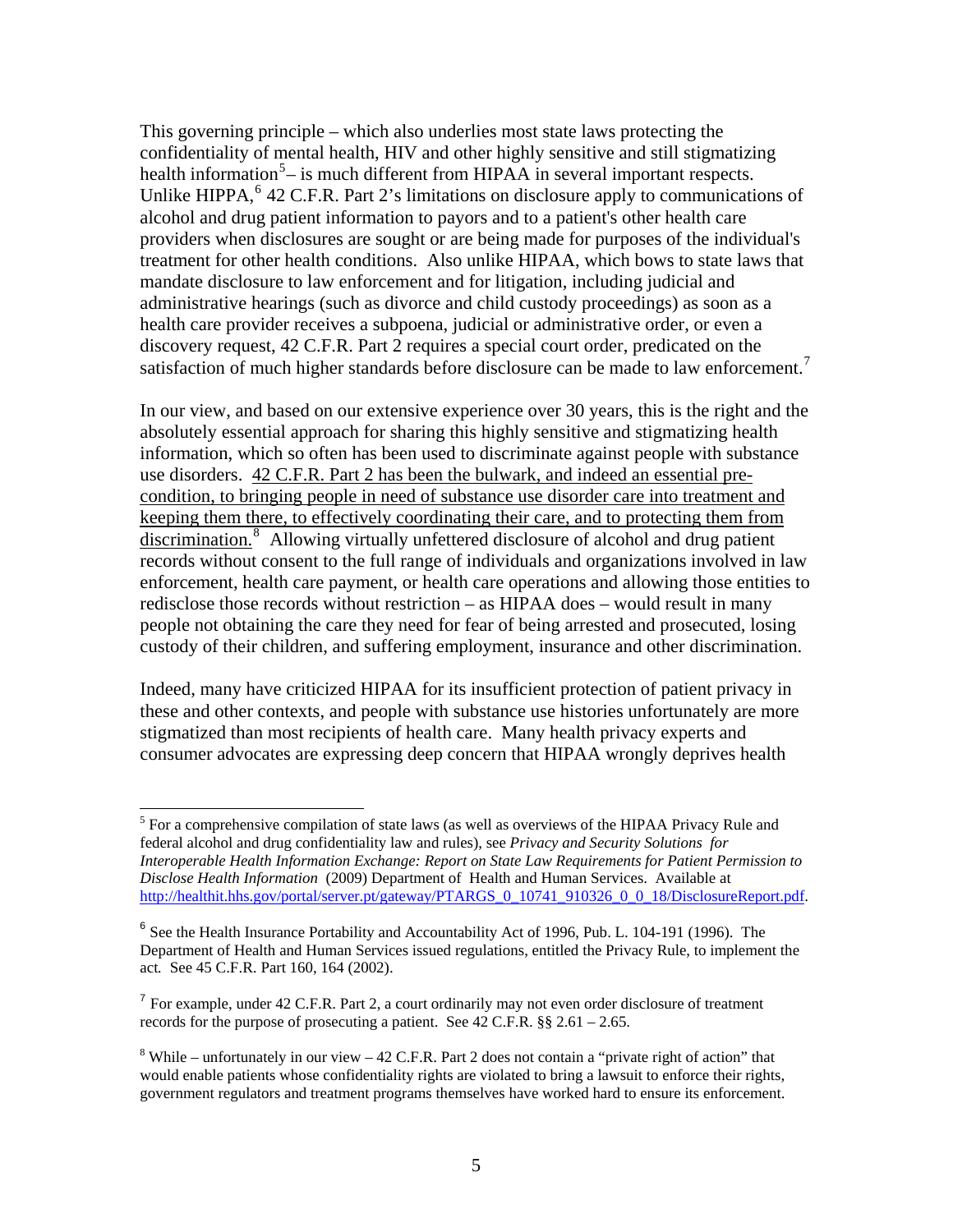This governing principle – which also underlies most state laws protecting the confidentiality of mental health, HIV and other highly sensitive and still stigmatizing health information<sup>[5](#page-4-0)</sup> $-$  is much different from HIPAA in several important respects. Unlike HIPPA, <sup>[6](#page-4-1)</sup> 42 C.F.R. Part 2's limitations on disclosure apply to communications of alcohol and drug patient information to payors and to a patient's other health care providers when disclosures are sought or are being made for purposes of the individual's treatment for other health conditions. Also unlike HIPAA, which bows to state laws that mandate disclosure to law enforcement and for litigation, including judicial and administrative hearings (such as divorce and child custody proceedings) as soon as a health care provider receives a subpoena, judicial or administrative order, or even a discovery request, 42 C.F.R. Part 2 requires a special court order, predicated on the satisfaction of much higher standards before disclosure can be made to law enforcement.<sup>[7](#page-4-2)</sup>

In our view, and based on our extensive experience over 30 years, this is the right and the absolutely essential approach for sharing this highly sensitive and stigmatizing health information, which so often has been used to discriminate against people with substance use disorders. 42 C.F.R. Part 2 has been the bulwark, and indeed an essential precondition, to bringing people in need of substance use disorder care into treatment and keeping them there, to effectively coordinating their care, and to protecting them from discrimination.<sup>[8](#page-4-3)</sup> Allowing virtually unfettered disclosure of alcohol and drug patient records without consent to the full range of individuals and organizations involved in law enforcement, health care payment, or health care operations and allowing those entities to redisclose those records without restriction – as HIPAA does – would result in many people not obtaining the care they need for fear of being arrested and prosecuted, losing custody of their children, and suffering employment, insurance and other discrimination.

Indeed, many have criticized HIPAA for its insufficient protection of patient privacy in these and other contexts, and people with substance use histories unfortunately are more stigmatized than most recipients of health care. Many health privacy experts and consumer advocates are expressing deep concern that HIPAA wrongly deprives health

<span id="page-4-0"></span><sup>&</sup>lt;sup>5</sup> For a comprehensive compilation of state laws (as well as overviews of the HIPAA Privacy Rule and federal alcohol and drug confidentiality law and rules), see *Privacy and Security Solutions for Interoperable Health Information Exchange: Report on State Law Requirements for Patient Permission to Disclose Health Information* (2009) Department of Health and Human Services. Available at [http://healthit.hhs.gov/portal/server.pt/gateway/PTARGS\\_0\\_10741\\_910326\\_0\\_0\\_18/DisclosureReport.pdf](http://healthit.hhs.gov/portal/server.pt/gateway/PTARGS_0_10741_910326_0_0_18/DisclosureReport.pdf).

<span id="page-4-1"></span><sup>&</sup>lt;sup>6</sup> See the Health Insurance Portability and Accountability Act of 1996, Pub. L. 104-191 (1996). The Department of Health and Human Services issued regulations, entitled the Privacy Rule, to implement the act*.* See 45 C.F.R. Part 160, 164 (2002).

<span id="page-4-2"></span><sup>&</sup>lt;sup>7</sup> For example, under 42 C.F.R. Part 2, a court ordinarily may not even order disclosure of treatment records for the purpose of prosecuting a patient. See 42 C.F.R.  $\S$ § 2.61 – 2.65.

<span id="page-4-3"></span><sup>&</sup>lt;sup>8</sup> While – unfortunately in our view – 42 C.F.R. Part 2 does not contain a "private right of action" that would enable patients whose confidentiality rights are violated to bring a lawsuit to enforce their rights, government regulators and treatment programs themselves have worked hard to ensure its enforcement.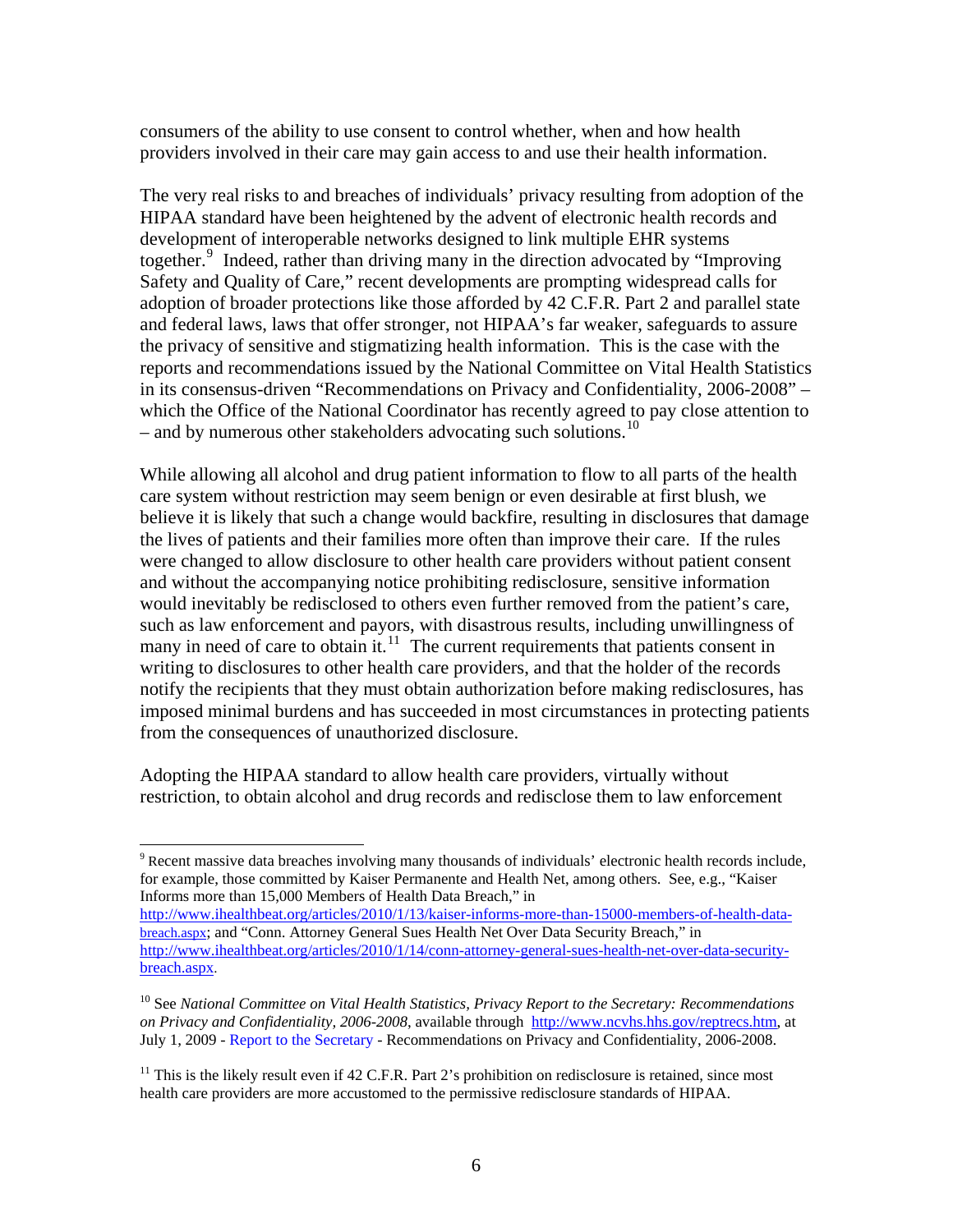consumers of the ability to use consent to control whether, when and how health providers involved in their care may gain access to and use their health information.

The very real risks to and breaches of individuals' privacy resulting from adoption of the HIPAA standard have been heightened by the advent of electronic health records and development of interoperable networks designed to link multiple EHR systems together.<sup>[9](#page-5-0)</sup> Indeed, rather than driving many in the direction advocated by "Improving Safety and Quality of Care," recent developments are prompting widespread calls for adoption of broader protections like those afforded by 42 C.F.R. Part 2 and parallel state and federal laws, laws that offer stronger, not HIPAA's far weaker, safeguards to assure the privacy of sensitive and stigmatizing health information. This is the case with the reports and recommendations issued by the National Committee on Vital Health Statistics in its consensus-driven "Recommendations on Privacy and Confidentiality, 2006-2008" – which the Office of the National Coordinator has recently agreed to pay close attention to – and by numerous other stakeholders advocating such solutions.<sup>[10](#page-5-1)</sup>

While allowing all alcohol and drug patient information to flow to all parts of the health care system without restriction may seem benign or even desirable at first blush, we believe it is likely that such a change would backfire, resulting in disclosures that damage the lives of patients and their families more often than improve their care. If the rules were changed to allow disclosure to other health care providers without patient consent and without the accompanying notice prohibiting redisclosure, sensitive information would inevitably be redisclosed to others even further removed from the patient's care, such as law enforcement and payors, with disastrous results, including unwillingness of many in need of care to obtain it.<sup>[11](#page-5-2)</sup> The current requirements that patients consent in writing to disclosures to other health care providers, and that the holder of the records notify the recipients that they must obtain authorization before making redisclosures, has imposed minimal burdens and has succeeded in most circumstances in protecting patients from the consequences of unauthorized disclosure.

Adopting the HIPAA standard to allow health care providers, virtually without restriction, to obtain alcohol and drug records and redisclose them to law enforcement

<span id="page-5-0"></span><sup>&</sup>lt;sup>9</sup> Recent massive data breaches involving many thousands of individuals' electronic health records include, for example, those committed by Kaiser Permanente and Health Net, among others. See, e.g., "Kaiser Informs more than 15,000 Members of Health Data Breach," in

[http://www.ihealthbeat.org/articles/2010/1/13/kaiser-informs-more-than-15000-members-of-health-data](http://www.ihealthbeat.org/articles/2010/1/13/kaiser-informs-more-than-15000-members-of-health-data-breach.aspx)[breach.aspx;](http://www.ihealthbeat.org/articles/2010/1/13/kaiser-informs-more-than-15000-members-of-health-data-breach.aspx) and "Conn. Attorney General Sues Health Net Over Data Security Breach," in [http://www.ihealthbeat.org/articles/2010/1/14/conn-attorney-general-sues-health-net-over-data-security](http://www.ihealthbeat.org/articles/2010/1/14/conn-attorney-general-sues-health-net-over-data-security-breach.aspx)[breach.aspx](http://www.ihealthbeat.org/articles/2010/1/14/conn-attorney-general-sues-health-net-over-data-security-breach.aspx).

<span id="page-5-1"></span><sup>&</sup>lt;sup>10</sup> See National Committee on Vital Health Statistics, Privacy Report to the Secretary: Recommendations *on Privacy and Confidentiality, 2006-2008*, available through <http://www.ncvhs.hhs.gov/reptrecs.htm>, at July 1, 2009 - [Report to the Secretary](http://www.ncvhs.hhs.gov/privacyreport0608.pdf) - Recommendations on Privacy and Confidentiality, 2006-2008.

<span id="page-5-2"></span><sup>&</sup>lt;sup>11</sup> This is the likely result even if 42 C.F.R. Part 2's prohibition on redisclosure is retained, since most health care providers are more accustomed to the permissive redisclosure standards of HIPAA.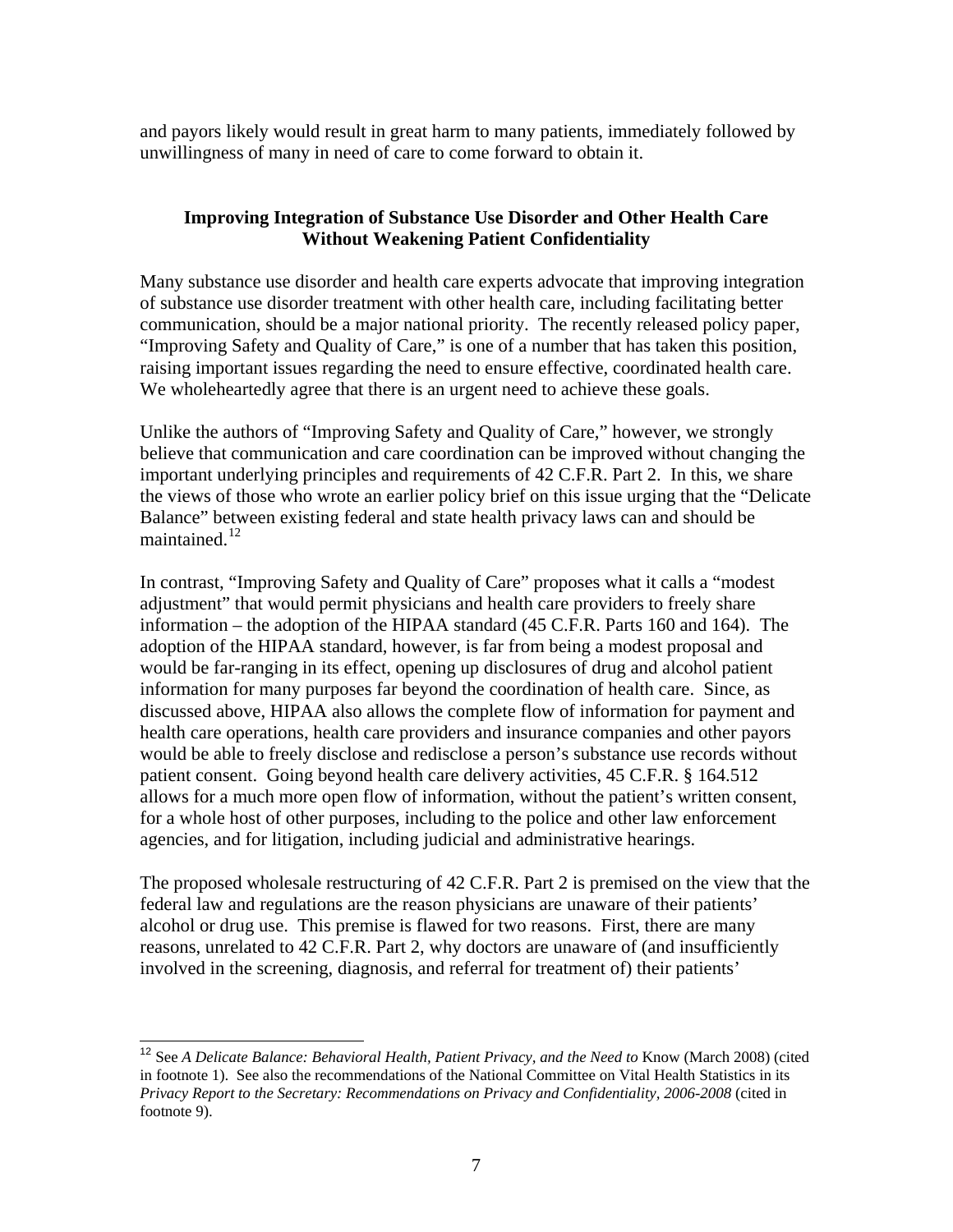and payors likely would result in great harm to many patients, immediately followed by unwillingness of many in need of care to come forward to obtain it.

#### **Improving Integration of Substance Use Disorder and Other Health Care Without Weakening Patient Confidentiality**

Many substance use disorder and health care experts advocate that improving integration of substance use disorder treatment with other health care, including facilitating better communication, should be a major national priority. The recently released policy paper, "Improving Safety and Quality of Care," is one of a number that has taken this position, raising important issues regarding the need to ensure effective, coordinated health care. We wholeheartedly agree that there is an urgent need to achieve these goals.

Unlike the authors of "Improving Safety and Quality of Care," however, we strongly believe that communication and care coordination can be improved without changing the important underlying principles and requirements of 42 C.F.R. Part 2. In this, we share the views of those who wrote an earlier policy brief on this issue urging that the "Delicate Balance" between existing federal and state health privacy laws can and should be maintained. $12$ 

In contrast, "Improving Safety and Quality of Care" proposes what it calls a "modest adjustment" that would permit physicians and health care providers to freely share information – the adoption of the HIPAA standard (45 C.F.R. Parts 160 and 164). The adoption of the HIPAA standard, however, is far from being a modest proposal and would be far-ranging in its effect, opening up disclosures of drug and alcohol patient information for many purposes far beyond the coordination of health care. Since, as discussed above, HIPAA also allows the complete flow of information for payment and health care operations, health care providers and insurance companies and other payors would be able to freely disclose and redisclose a person's substance use records without patient consent. Going beyond health care delivery activities, 45 C.F.R. § 164.512 allows for a much more open flow of information, without the patient's written consent, for a whole host of other purposes, including to the police and other law enforcement agencies, and for litigation, including judicial and administrative hearings.

The proposed wholesale restructuring of 42 C.F.R. Part 2 is premised on the view that the federal law and regulations are the reason physicians are unaware of their patients' alcohol or drug use. This premise is flawed for two reasons. First, there are many reasons, unrelated to 42 C.F.R. Part 2, why doctors are unaware of (and insufficiently involved in the screening, diagnosis, and referral for treatment of) their patients'

<span id="page-6-0"></span><sup>&</sup>lt;sup>12</sup> See *A Delicate Balance: Behavioral Health, Patient Privacy, and the Need to Know (March 2008) (cited* in footnote 1). See also the recommendations of the National Committee on Vital Health Statistics in its *Privacy Report to the Secretary: Recommendations on Privacy and Confidentiality, 2006-2008* (cited in footnote 9).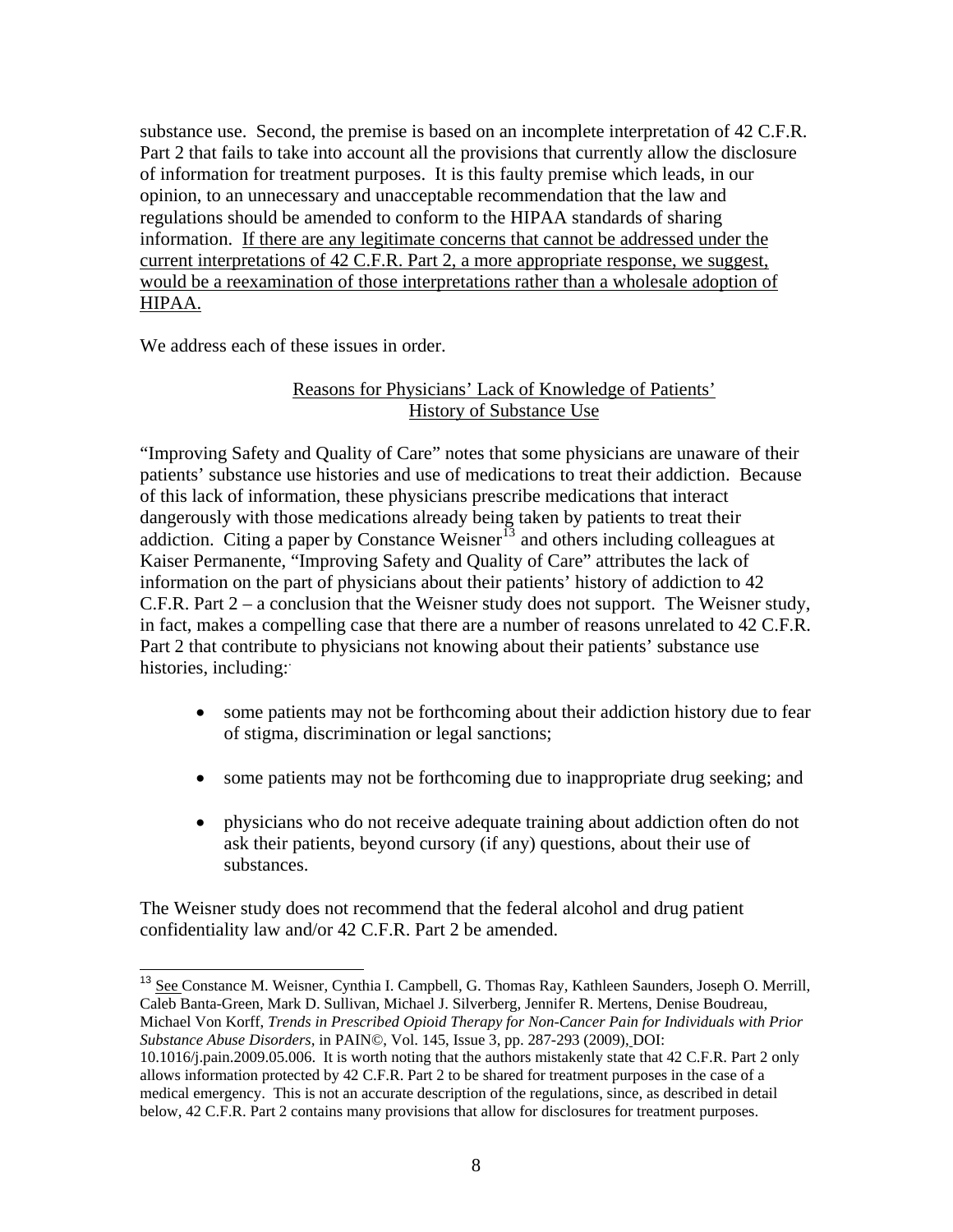substance use. Second, the premise is based on an incomplete interpretation of 42 C.F.R. Part 2 that fails to take into account all the provisions that currently allow the disclosure of information for treatment purposes. It is this faulty premise which leads, in our opinion, to an unnecessary and unacceptable recommendation that the law and regulations should be amended to conform to the HIPAA standards of sharing information. If there are any legitimate concerns that cannot be addressed under the current interpretations of 42 C.F.R. Part 2, a more appropriate response, we suggest, would be a reexamination of those interpretations rather than a wholesale adoption of HIPAA.

We address each of these issues in order.

l

#### Reasons for Physicians' Lack of Knowledge of Patients' History of Substance Use

"Improving Safety and Quality of Care" notes that some physicians are unaware of their patients' substance use histories and use of medications to treat their addiction. Because of this lack of information, these physicians prescribe medications that interact dangerously with those medications already being taken by patients to treat their addiction. Citing a paper by Constance Weisner<sup>[13](#page-7-0)</sup> and others including colleagues at Kaiser Permanente, "Improving Safety and Quality of Care" attributes the lack of information on the part of physicians about their patients' history of addiction to 42 C.F.R. Part 2 – a conclusion that the Weisner study does not support. The Weisner study, in fact, makes a compelling case that there are a number of reasons unrelated to 42 C.F.R. Part 2 that contribute to physicians not knowing about their patients' substance use histories, including:

- some patients may not be forthcoming about their addiction history due to fear of stigma, discrimination or legal sanctions;
- some patients may not be forthcoming due to inappropriate drug seeking; and
- physicians who do not receive adequate training about addiction often do not ask their patients, beyond cursory (if any) questions, about their use of substances.

The Weisner study does not recommend that the federal alcohol and drug patient confidentiality law and/or 42 C.F.R. Part 2 be amended.

<span id="page-7-0"></span><sup>&</sup>lt;sup>13</sup> See Constance M. Weisner, Cynthia I. Campbell, G. Thomas Ray, Kathleen Saunders, Joseph O. Merrill, Caleb Banta-Green, Mark D. Sullivan, Michael J. Silverberg, Jennifer R. Mertens, Denise Boudreau, Michael Von Korff, *Trends in Prescribed Opioid Therapy for Non-Cancer Pain for Individuals with Prior Substance Abuse Disorders,* in PAIN©, Vol. 145, Issue 3, pp. 287-293 (2009), DOI:

<sup>10.1016/</sup>j.pain.2009.05.006. It is worth noting that the authors mistakenly state that 42 C.F.R. Part 2 only allows information protected by 42 C.F.R. Part 2 to be shared for treatment purposes in the case of a medical emergency. This is not an accurate description of the regulations, since, as described in detail below, 42 C.F.R. Part 2 contains many provisions that allow for disclosures for treatment purposes.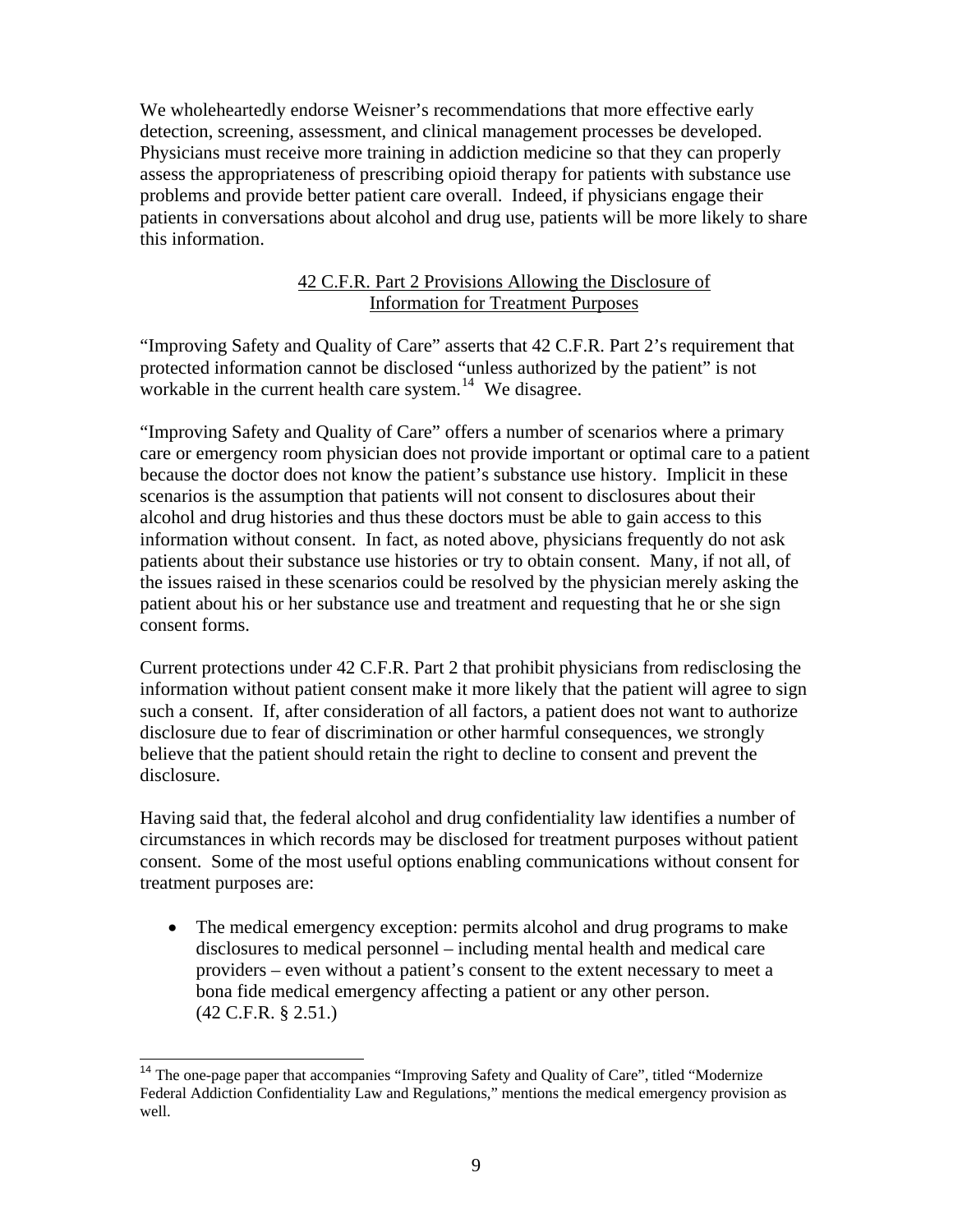We wholeheartedly endorse Weisner's recommendations that more effective early detection, screening, assessment, and clinical management processes be developed. Physicians must receive more training in addiction medicine so that they can properly assess the appropriateness of prescribing opioid therapy for patients with substance use problems and provide better patient care overall. Indeed, if physicians engage their patients in conversations about alcohol and drug use, patients will be more likely to share this information.

#### 42 C.F.R. Part 2 Provisions Allowing the Disclosure of Information for Treatment Purposes

"Improving Safety and Quality of Care" asserts that 42 C.F.R. Part 2's requirement that protected information cannot be disclosed "unless authorized by the patient" is not workable in the current health care system.<sup>[14](#page-8-0)</sup> We disagree.

"Improving Safety and Quality of Care" offers a number of scenarios where a primary care or emergency room physician does not provide important or optimal care to a patient because the doctor does not know the patient's substance use history. Implicit in these scenarios is the assumption that patients will not consent to disclosures about their alcohol and drug histories and thus these doctors must be able to gain access to this information without consent. In fact, as noted above, physicians frequently do not ask patients about their substance use histories or try to obtain consent. Many, if not all, of the issues raised in these scenarios could be resolved by the physician merely asking the patient about his or her substance use and treatment and requesting that he or she sign consent forms.

Current protections under 42 C.F.R. Part 2 that prohibit physicians from redisclosing the information without patient consent make it more likely that the patient will agree to sign such a consent. If, after consideration of all factors, a patient does not want to authorize disclosure due to fear of discrimination or other harmful consequences, we strongly believe that the patient should retain the right to decline to consent and prevent the disclosure.

Having said that, the federal alcohol and drug confidentiality law identifies a number of circumstances in which records may be disclosed for treatment purposes without patient consent. Some of the most useful options enabling communications without consent for treatment purposes are:

• The medical emergency exception: permits alcohol and drug programs to make disclosures to medical personnel – including mental health and medical care providers – even without a patient's consent to the extent necessary to meet a bona fide medical emergency affecting a patient or any other person. (42 C.F.R. § 2.51.)

<span id="page-8-0"></span><sup>&</sup>lt;sup>14</sup> The one-page paper that accompanies "Improving Safety and Quality of Care", titled "Modernize Federal Addiction Confidentiality Law and Regulations," mentions the medical emergency provision as well.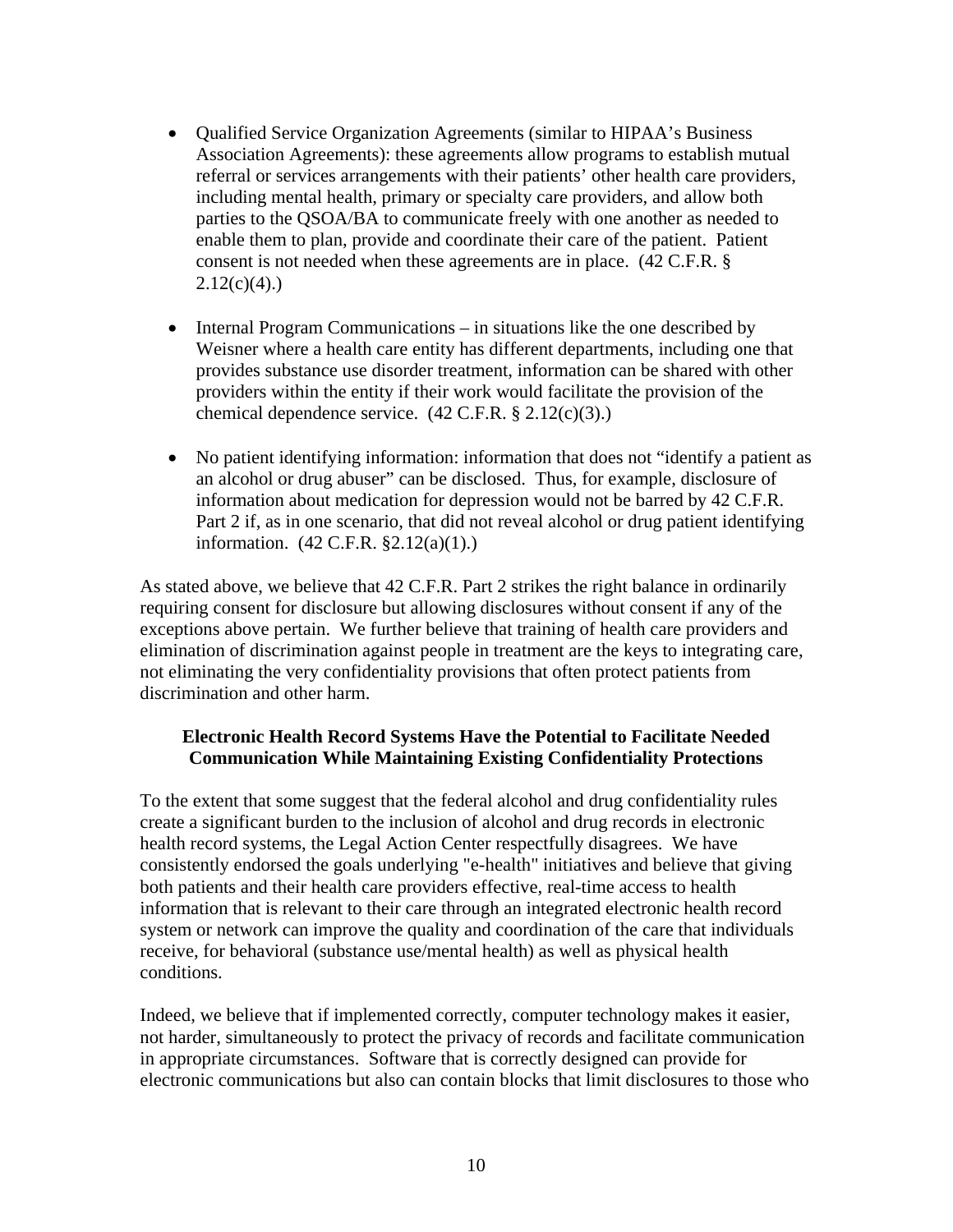- Qualified Service Organization Agreements (similar to HIPAA's Business Association Agreements): these agreements allow programs to establish mutual referral or services arrangements with their patients' other health care providers, including mental health, primary or specialty care providers, and allow both parties to the QSOA/BA to communicate freely with one another as needed to enable them to plan, provide and coordinate their care of the patient. Patient consent is not needed when these agreements are in place. (42 C.F.R. §  $2.12(c)(4)$ .)
- Internal Program Communications in situations like the one described by Weisner where a health care entity has different departments, including one that provides substance use disorder treatment, information can be shared with other providers within the entity if their work would facilitate the provision of the chemical dependence service.  $(42 \text{ C.F.R.} \S 2.12(c)(3))$ .
- No patient identifying information: information that does not "identify a patient as an alcohol or drug abuser" can be disclosed. Thus, for example, disclosure of information about medication for depression would not be barred by 42 C.F.R. Part 2 if, as in one scenario, that did not reveal alcohol or drug patient identifying information. (42 C.F.R. §2.12(a)(1).)

As stated above, we believe that 42 C.F.R. Part 2 strikes the right balance in ordinarily requiring consent for disclosure but allowing disclosures without consent if any of the exceptions above pertain. We further believe that training of health care providers and elimination of discrimination against people in treatment are the keys to integrating care, not eliminating the very confidentiality provisions that often protect patients from discrimination and other harm.

#### **Electronic Health Record Systems Have the Potential to Facilitate Needed Communication While Maintaining Existing Confidentiality Protections**

To the extent that some suggest that the federal alcohol and drug confidentiality rules create a significant burden to the inclusion of alcohol and drug records in electronic health record systems, the Legal Action Center respectfully disagrees. We have consistently endorsed the goals underlying "e-health" initiatives and believe that giving both patients and their health care providers effective, real-time access to health information that is relevant to their care through an integrated electronic health record system or network can improve the quality and coordination of the care that individuals receive, for behavioral (substance use/mental health) as well as physical health conditions.

Indeed, we believe that if implemented correctly, computer technology makes it easier, not harder, simultaneously to protect the privacy of records and facilitate communication in appropriate circumstances. Software that is correctly designed can provide for electronic communications but also can contain blocks that limit disclosures to those who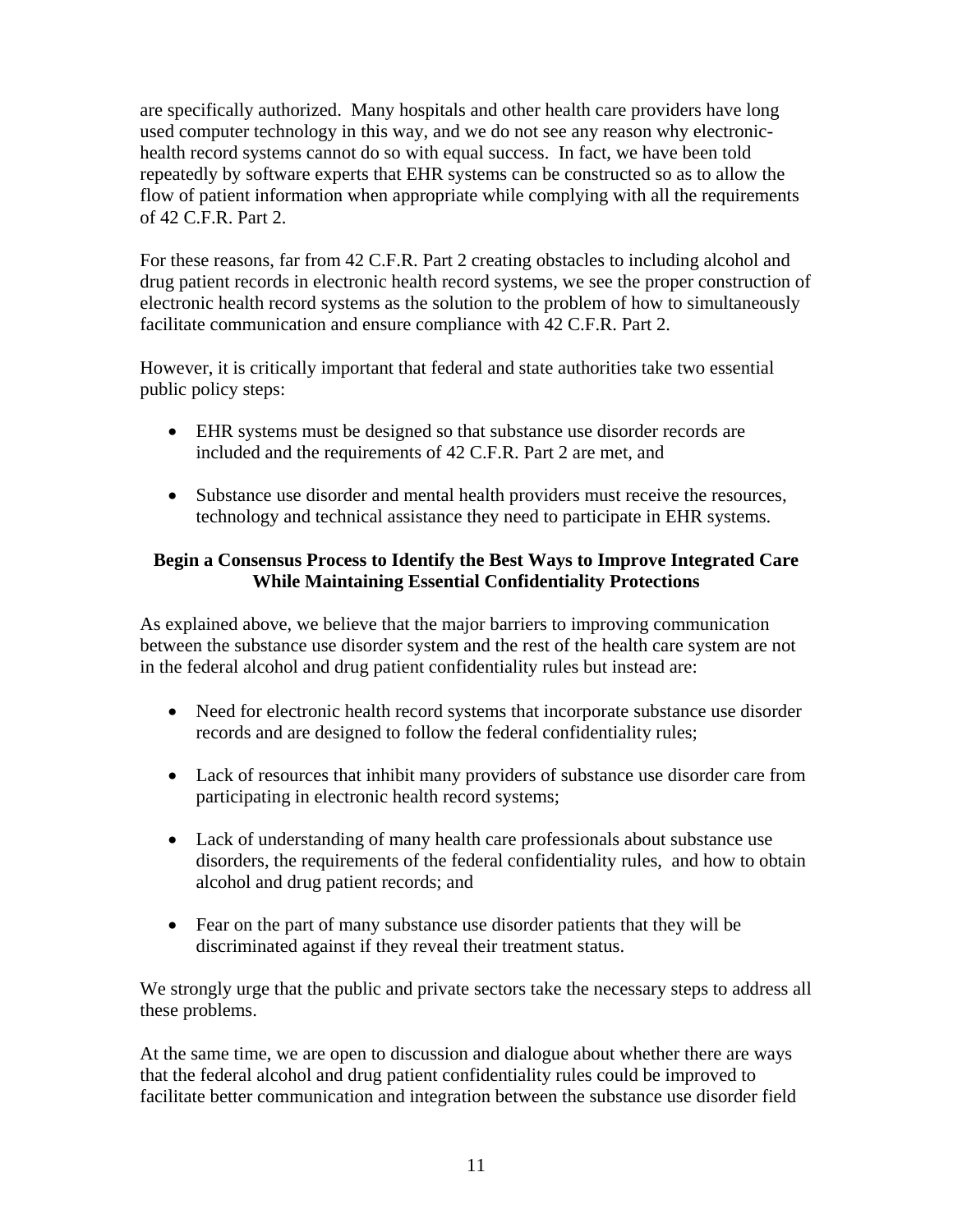are specifically authorized. Many hospitals and other health care providers have long used computer technology in this way, and we do not see any reason why electronichealth record systems cannot do so with equal success. In fact, we have been told repeatedly by software experts that EHR systems can be constructed so as to allow the flow of patient information when appropriate while complying with all the requirements of 42 C.F.R. Part 2.

For these reasons, far from 42 C.F.R. Part 2 creating obstacles to including alcohol and drug patient records in electronic health record systems, we see the proper construction of electronic health record systems as the solution to the problem of how to simultaneously facilitate communication and ensure compliance with 42 C.F.R. Part 2.

However, it is critically important that federal and state authorities take two essential public policy steps:

- EHR systems must be designed so that substance use disorder records are included and the requirements of 42 C.F.R. Part 2 are met, and
- Substance use disorder and mental health providers must receive the resources, technology and technical assistance they need to participate in EHR systems.

### **Begin a Consensus Process to Identify the Best Ways to Improve Integrated Care While Maintaining Essential Confidentiality Protections**

As explained above, we believe that the major barriers to improving communication between the substance use disorder system and the rest of the health care system are not in the federal alcohol and drug patient confidentiality rules but instead are:

- Need for electronic health record systems that incorporate substance use disorder records and are designed to follow the federal confidentiality rules;
- Lack of resources that inhibit many providers of substance use disorder care from participating in electronic health record systems;
- Lack of understanding of many health care professionals about substance use disorders, the requirements of the federal confidentiality rules, and how to obtain alcohol and drug patient records; and
- Fear on the part of many substance use disorder patients that they will be discriminated against if they reveal their treatment status.

We strongly urge that the public and private sectors take the necessary steps to address all these problems.

At the same time, we are open to discussion and dialogue about whether there are ways that the federal alcohol and drug patient confidentiality rules could be improved to facilitate better communication and integration between the substance use disorder field